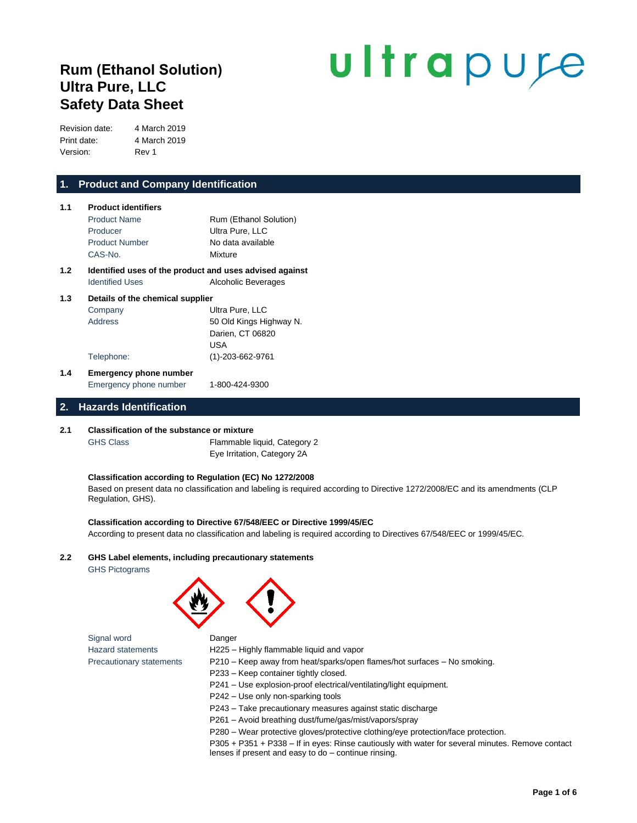# **Rum (Ethanol Solution) Ultra Pure, LLC Safety Data Sheet**

# ultrapure

Revision date: 4 March 2019 Print date: 4 March 2019 Version: Rev 1

#### **1. Product and Company Identification**

| 1.1 | <b>Product identifiers</b>                              |                         |  |  |
|-----|---------------------------------------------------------|-------------------------|--|--|
|     | <b>Product Name</b>                                     | Rum (Ethanol Solution)  |  |  |
|     | Producer                                                | Ultra Pure, LLC         |  |  |
|     | <b>Product Number</b>                                   | No data available       |  |  |
|     | CAS-No.                                                 | Mixture                 |  |  |
| 1.2 | Identified uses of the product and uses advised against |                         |  |  |
|     | <b>Identified Uses</b>                                  | Alcoholic Beverages     |  |  |
| 1.3 | Details of the chemical supplier                        |                         |  |  |
|     | Company                                                 | Ultra Pure, LLC         |  |  |
|     | Address                                                 | 50 Old Kings Highway N. |  |  |
|     |                                                         | Darien, CT 06820        |  |  |
|     |                                                         | USA                     |  |  |
|     | Telephone:                                              | (1)-203-662-9761        |  |  |

### **1.4 Emergency phone number** Emergency phone number 1-800-424-9300

#### **2. Hazards Identification**

#### **2.1 Classification of the substance or mixture**

GHS Class Flammable liquid, Category 2 Eye Irritation, Category 2A

#### **Classification according to Regulation (EC) No 1272/2008**

Based on present data no classification and labeling is required according to Directive 1272/2008/EC and its amendments (CLP Regulation, GHS).

#### **Classification according to Directive 67/548/EEC or Directive 1999/45/EC**

According to present data no classification and labeling is required according to Directives 67/548/EEC or 1999/45/EC.

#### **2.2 GHS Label elements, including precautionary statements**

GHS Pictograms



Signal word **Danger** Hazard statements H225 – Highly flammable liquid and vapor

- Precautionary statements P210 Keep away from heat/sparks/open flames/hot surfaces No smoking.
	- P233 Keep container tightly closed.
	- P241 Use explosion-proof electrical/ventilating/light equipment.
	- P242 Use only non-sparking tools
	- P243 Take precautionary measures against static discharge
	- P261 Avoid breathing dust/fume/gas/mist/vapors/spray
	- P280 Wear protective gloves/protective clothing/eye protection/face protection.

P305 + P351 + P338 – If in eyes: Rinse cautiously with water for several minutes. Remove contact lenses if present and easy to do – continue rinsing.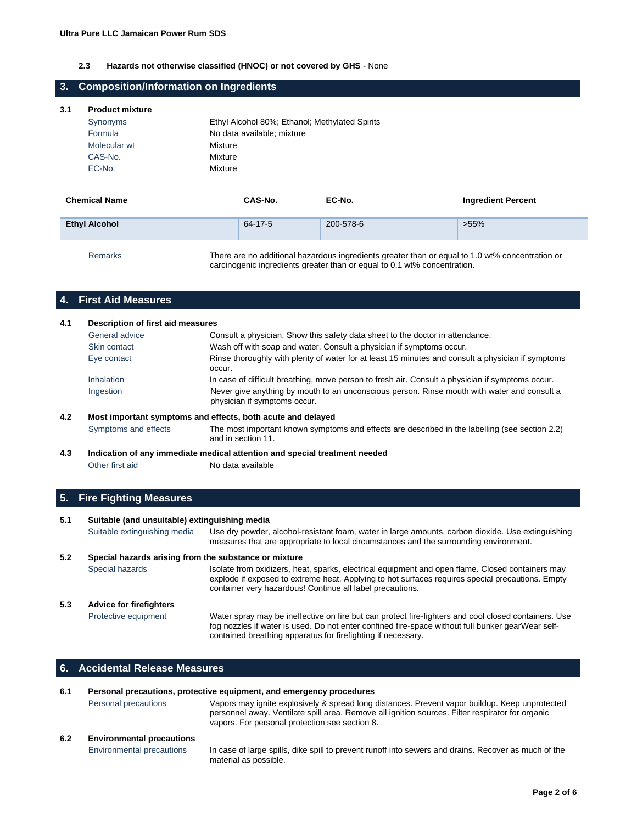#### **2.3 Hazards not otherwise classified (HNOC) or not covered by GHS** - None

#### **3. Composition/Information on Ingredients**

#### **3.1 Product mixture**

| Synonyms     | Ethyl Alcohol 80%; Ethanol; Methylated Spirits |
|--------------|------------------------------------------------|
| Formula      | No data available; mixture                     |
| Molecular wt | Mixture                                        |
| CAS-No.      | Mixture                                        |
| EC-No.       | Mixture                                        |
|              |                                                |

| <b>Chemical Name</b> | CAS-No. | EC-No.                                                                                                                                                                      | <b>Ingredient Percent</b> |
|----------------------|---------|-----------------------------------------------------------------------------------------------------------------------------------------------------------------------------|---------------------------|
| <b>Ethyl Alcohol</b> | 64-17-5 | 200-578-6                                                                                                                                                                   | $>55\%$                   |
| <b>Remarks</b>       |         | There are no additional hazardous ingredients greater than or equal to 1.0 wt% concentration or<br>carcinogenic ingredients greater than or equal to 0.1 wt% concentration. |                           |

#### **4. First Aid Measures**

| 4.1 | Description of first aid measures |                                                                                                                             |  |
|-----|-----------------------------------|-----------------------------------------------------------------------------------------------------------------------------|--|
|     | General advice                    | Consult a physician. Show this safety data sheet to the doctor in attendance.                                               |  |
|     | Skin contact                      | Wash off with soap and water. Consult a physician if symptoms occur.                                                        |  |
|     | Eye contact                       | Rinse thoroughly with plenty of water for at least 15 minutes and consult a physician if symptoms<br>occur.                 |  |
|     | Inhalation                        | In case of difficult breathing, move person to fresh air. Consult a physician if symptoms occur.                            |  |
|     | Ingestion                         | Never give anything by mouth to an unconscious person. Rinse mouth with water and consult a<br>physician if symptoms occur. |  |
| 4.2 |                                   | Most important symptoms and effects, both acute and delayed                                                                 |  |
|     | Symptoms and effects              | The most important known symptoms and effects are described in the labelling (see section 2.2)<br>and in section 11.        |  |
| 4.3 |                                   | Indication of any immediate medical attention and special treatment needed                                                  |  |

# **5. Fire Fighting Measures**

Other first aid No data available

#### **5.1 Suitable (and unsuitable) extinguishing media** Suitable extinguishing media Use dry powder, alcohol-resistant foam, water in large amounts, carbon dioxide. Use extinguishing measures that are appropriate to local circumstances and the surrounding environment. **5.2 Special hazards arising from the substance or mixture** Special hazards **Interpret isolate from oxidizers, heat, sparks, electrical equipment and open flame. Closed containers may** explode if exposed to extreme heat. Applying to hot surfaces requires special precautions. Empty container very hazardous! Continue all label precautions. **5.3 Advice for firefighters** Protective equipment Water spray may be ineffective on fire but can protect fire-fighters and cool closed containers. Use fog nozzles if water is used. Do not enter confined fire-space without full bunker gearWear selfcontained breathing apparatus for firefighting if necessary.

#### **6. Accidental Release Measures**

| 6.1 | Personal precautions, protective equipment, and emergency procedures |                                                                                                                                                                                                                                                      |  |
|-----|----------------------------------------------------------------------|------------------------------------------------------------------------------------------------------------------------------------------------------------------------------------------------------------------------------------------------------|--|
|     | Personal precautions                                                 | Vapors may ignite explosively & spread long distances. Prevent vapor buildup. Keep unprotected<br>personnel away. Ventilate spill area. Remove all ignition sources. Filter respirator for organic<br>vapors. For personal protection see section 8. |  |
| 6.2 | <b>Environmental precautions</b>                                     |                                                                                                                                                                                                                                                      |  |
|     | Environmental precautions                                            | In case of large spills, dike spill to prevent runoff into sewers and drains. Recover as much of the<br>material as possible.                                                                                                                        |  |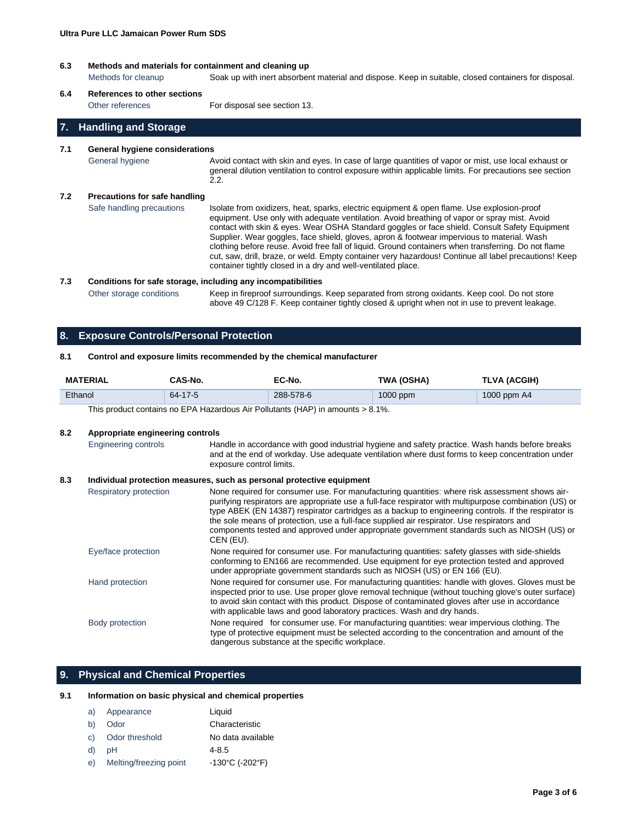#### **6.3 Methods and materials for containment and cleaning up**

Methods for cleanup Soak up with inert absorbent material and dispose. Keep in suitable, closed containers for disposal.

#### **6.4 References to other sections**

Other references For disposal see section 13.

#### **7. Handling and Storage**

#### **7.1 General hygiene considerations**

General hygiene **Avoid contact with skin and eyes. In case of large quantities of vapor or mist, use local exhaust or** general dilution ventilation to control exposure within applicable limits. For precautions see section 2.2.

#### **7.2 Precautions for safe handling** Safe handling precautions lsolate from oxidizers, heat, sparks, electric equipment & open flame. Use explosion-proof equipment. Use only with adequate ventilation. Avoid breathing of vapor or spray mist. Avoid contact with skin & eyes. Wear OSHA Standard goggles or face shield. Consult Safety Equipment Supplier. Wear goggles, face shield, gloves, apron & footwear impervious to material. Wash clothing before reuse. Avoid free fall of liquid. Ground containers when transferring. Do not flame cut, saw, drill, braze, or weld. Empty container very hazardous! Continue all label precautions! Keep container tightly closed in a dry and well-ventilated place. **7.3 Conditions for safe storage, including any incompatibilities**

Other storage conditions Keep in fireproof surroundings. Keep separated from strong oxidants. Keep cool. Do not store above 49 C/128 F. Keep container tightly closed & upright when not in use to prevent leakage.

#### **8. Exposure Controls/Personal Protection**

#### **8.1 Control and exposure limits recommended by the chemical manufacturer**

| <b>MATERIAL</b>                                                                | CAS-No. | EC-No.    | <b>TWA (OSHA)</b> | TLVA (ACGIH) |
|--------------------------------------------------------------------------------|---------|-----------|-------------------|--------------|
| Ethanol                                                                        | 64-17-5 | 288-578-6 | $1000$ ppm        | 1000 ppm A4  |
| This product contains no EPA Hazardous Air Pollutants (HAP) in amounts > 8.1%. |         |           |                   |              |

This product contains no EPA Hazardous Air Pollutants (HAP) in amounts > 8.1%.

#### **8.2 Appropriate engineering controls**

Engineering controls Handle in accordance with good industrial hygiene and safety practice. Wash hands before breaks and at the end of workday. Use adequate ventilation where dust forms to keep concentration under exposure control limits.

#### **8.3 Individual protection measures, such as personal protective equipment**

| Respiratory protection | None required for consumer use. For manufacturing quantities: where risk assessment shows air-<br>purifying respirators are appropriate use a full-face respirator with multipurpose combination (US) or<br>type ABEK (EN 14387) respirator cartridges as a backup to engineering controls. If the respirator is<br>the sole means of protection, use a full-face supplied air respirator. Use respirators and<br>components tested and approved under appropriate government standards such as NIOSH (US) or<br>CEN (EU). |
|------------------------|----------------------------------------------------------------------------------------------------------------------------------------------------------------------------------------------------------------------------------------------------------------------------------------------------------------------------------------------------------------------------------------------------------------------------------------------------------------------------------------------------------------------------|
| Eye/face protection    | None required for consumer use. For manufacturing quantities: safety glasses with side-shields<br>conforming to EN166 are recommended. Use equipment for eye protection tested and approved<br>under appropriate government standards such as NIOSH (US) or EN 166 (EU).                                                                                                                                                                                                                                                   |
| Hand protection        | None required for consumer use. For manufacturing quantities: handle with gloves. Gloves must be<br>inspected prior to use. Use proper glove removal technique (without touching glove's outer surface)<br>to avoid skin contact with this product. Dispose of contaminated gloves after use in accordance<br>with applicable laws and good laboratory practices. Wash and dry hands.                                                                                                                                      |
| Body protection        | None required for consumer use. For manufacturing quantities: wear impervious clothing. The<br>type of protective equipment must be selected according to the concentration and amount of the<br>dangerous substance at the specific workplace.                                                                                                                                                                                                                                                                            |

#### **9. Physical and Chemical Properties**

#### **9.1 Information on basic physical and chemical properties**

| a) | Appearance             | Liquid            |
|----|------------------------|-------------------|
| b) | Odor                   | Characteristic    |
| C) | Odor threshold         | No data available |
| d) | рH                     | $4 - 8.5$         |
| e) | Melting/freezing point | -130°C (-202°F)   |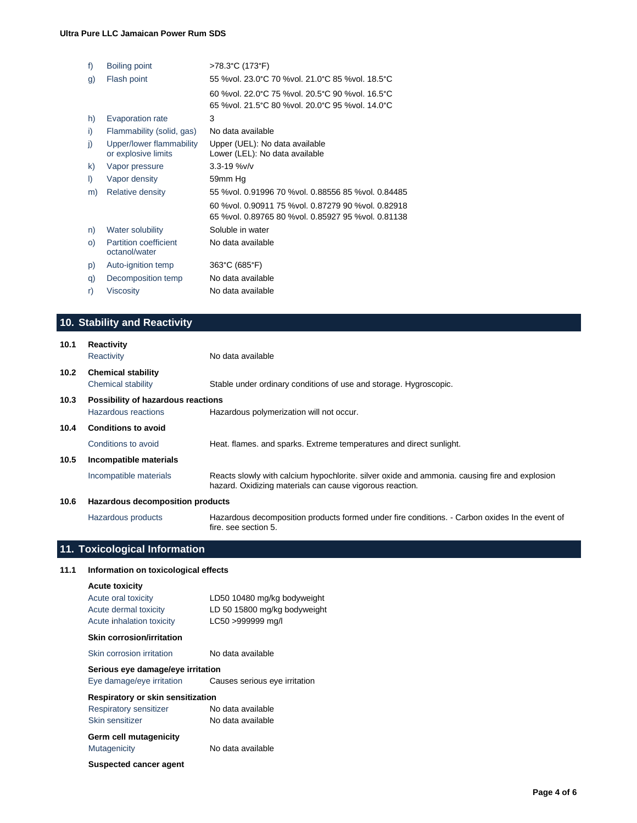| f)      | Boiling point                                   | >78.3°C (173°F)                                                  |
|---------|-------------------------------------------------|------------------------------------------------------------------|
| g)      | Flash point                                     | 55 % vol. 23.0°C 70 % vol. 21.0°C 85 % vol. 18.5°C               |
|         |                                                 | 60 % vol. 22.0°C 75 % vol. 20.5°C 90 % vol. 16.5°C               |
|         |                                                 | 65 % vol. 21.5°C 80 % vol. 20.0°C 95 % vol. 14.0°C               |
| h)      | <b>Evaporation rate</b>                         | 3                                                                |
| i)      | Flammability (solid, gas)                       | No data available                                                |
| j)      | Upper/lower flammability<br>or explosive limits | Upper (UEL): No data available<br>Lower (LEL): No data available |
| k)      | Vapor pressure                                  | $3.3 - 19$ %v/v                                                  |
| $\vert$ | Vapor density                                   | 59mm Hg                                                          |
| m)      | <b>Relative density</b>                         | 55 %vol. 0.91996 70 %vol. 0.88556 85 %vol. 0.84485               |
|         |                                                 | 60 %vol. 0.90911 75 %vol. 0.87279 90 %vol. 0.82918               |
|         |                                                 | 65 %vol. 0.89765 80 %vol. 0.85927 95 %vol. 0.81138               |
| n)      | Water solubility                                | Soluble in water                                                 |
| $\circ$ | <b>Partition coefficient</b><br>octanol/water   | No data available                                                |
| p)      | Auto-ignition temp                              | 363°C (685°F)                                                    |
| q)      | Decomposition temp                              | No data available                                                |
| r)      | <b>Viscosity</b>                                | No data available                                                |
|         |                                                 |                                                                  |

# **10. Stability and Reactivity**

| 10.1 | Reactivity                                      |                                                                                                                                                           |
|------|-------------------------------------------------|-----------------------------------------------------------------------------------------------------------------------------------------------------------|
|      | Reactivity                                      | No data available                                                                                                                                         |
| 10.2 | <b>Chemical stability</b><br>Chemical stability | Stable under ordinary conditions of use and storage. Hygroscopic.                                                                                         |
| 10.3 | Possibility of hazardous reactions              |                                                                                                                                                           |
|      | Hazardous reactions                             | Hazardous polymerization will not occur.                                                                                                                  |
| 10.4 | <b>Conditions to avoid</b>                      |                                                                                                                                                           |
|      | Conditions to avoid                             | Heat. flames. and sparks. Extreme temperatures and direct sunlight.                                                                                       |
| 10.5 | Incompatible materials                          |                                                                                                                                                           |
|      | Incompatible materials                          | Reacts slowly with calcium hypochlorite, silver oxide and ammonia, causing fire and explosion<br>hazard. Oxidizing materials can cause vigorous reaction. |
| 10.6 | Hazardous decomposition products                |                                                                                                                                                           |
|      |                                                 | .                                                                                                                                                         |

Hazardous products Hazardous decomposition products formed under fire conditions. - Carbon oxides In the event of fire. see section 5.

## **11. Toxicological Information**

#### **11.1 Information on toxicological effects**

| <b>Acute toxicity</b>             |                               |
|-----------------------------------|-------------------------------|
| Acute oral toxicity               | LD50 10480 mg/kg bodyweight   |
| Acute dermal toxicity             | LD 50 15800 mg/kg bodyweight  |
| Acute inhalation toxicity         | LC50 >999999 mg/l             |
| <b>Skin corrosion/irritation</b>  |                               |
| Skin corrosion irritation         | No data available             |
| Serious eye damage/eye irritation |                               |
| Eye damage/eye irritation         | Causes serious eye irritation |
| Respiratory or skin sensitization |                               |
| Respiratory sensitizer            | No data available             |
| Skin sensitizer                   | No data available             |
| Germ cell mutagenicity            |                               |
| Mutagenicity                      | No data available             |
|                                   |                               |

#### **Suspected cancer agent**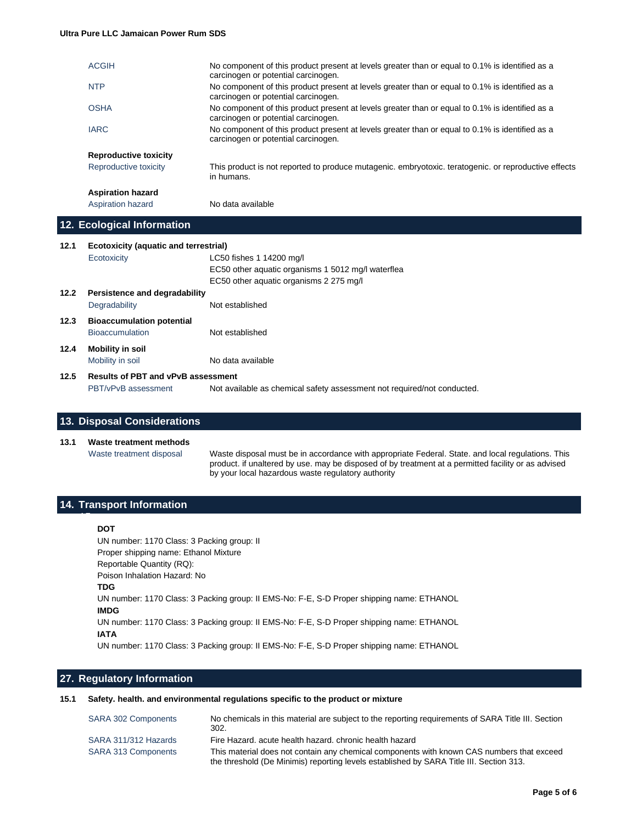|      | <b>ACGIH</b>                                 | No component of this product present at levels greater than or equal to 0.1% is identified as a<br>carcinogen or potential carcinogen. |
|------|----------------------------------------------|----------------------------------------------------------------------------------------------------------------------------------------|
|      | <b>NTP</b>                                   | No component of this product present at levels greater than or equal to 0.1% is identified as a<br>carcinogen or potential carcinogen. |
|      | <b>OSHA</b>                                  | No component of this product present at levels greater than or equal to 0.1% is identified as a<br>carcinogen or potential carcinogen. |
|      | <b>IARC</b>                                  | No component of this product present at levels greater than or equal to 0.1% is identified as a<br>carcinogen or potential carcinogen. |
|      | <b>Reproductive toxicity</b>                 |                                                                                                                                        |
|      | Reproductive toxicity                        | This product is not reported to produce mutagenic. embryotoxic. teratogenic. or reproductive effects<br>in humans.                     |
|      | <b>Aspiration hazard</b>                     |                                                                                                                                        |
|      | Aspiration hazard                            | No data available                                                                                                                      |
|      | 12. Ecological Information                   |                                                                                                                                        |
| 12.1 | <b>Ecotoxicity (aquatic and terrestrial)</b> |                                                                                                                                        |
|      | Ecotoxicity                                  | LC50 fishes 1 14200 mg/l                                                                                                               |
|      |                                              | EC50 other aquatic organisms 1 5012 mg/l waterflea                                                                                     |
|      |                                              | EC50 other aquatic organisms 2 275 mg/l                                                                                                |
| 12.2 | Persistence and degradability                |                                                                                                                                        |
|      | Degradability                                | Not established                                                                                                                        |
| 12.3 | <b>Bioaccumulation potential</b>             |                                                                                                                                        |
|      | <b>Bioaccumulation</b>                       | Not established                                                                                                                        |
| 12.4 | <b>Mobility in soil</b>                      |                                                                                                                                        |
|      | Mobility in soil                             | No data available                                                                                                                      |
| 12.5 | <b>Results of PBT and vPvB assessment</b>    |                                                                                                                                        |
|      | PBT/vPvB assessment                          | Not available as chemical safety assessment not required/not conducted.                                                                |

#### **13. Disposal Considerations**

# **13.1 Waste treatment methods**

Waste treatment disposal Waste disposal must be in accordance with appropriate Federal. State. and local regulations. This product. if unaltered by use. may be disposed of by treatment at a permitted facility or as advised by your local hazardous waste regulatory authority

#### **14. Transport Information**

#### **16. DOT**

*15.*

UN number: 1170 Class: 3 Packing group: II Proper shipping name: Ethanol Mixture Reportable Quantity (RQ): Poison Inhalation Hazard: No **21. TDG** UN number: 1170 Class: 3 Packing group: II EMS-No: F-E, S-D Proper shipping name: ETHANOL **23. IMDG** UN number: 1170 Class: 3 Packing group: II EMS-No: F-E, S-D Proper shipping name: ETHANOL **25. IATA** UN number: 1170 Class: 3 Packing group: II EMS-No: F-E, S-D Proper shipping name: ETHANOL

#### **27. Regulatory Information**

#### **15.1 Safety. health. and environmental regulations specific to the product or mixture**

| SARA 302 Components        | No chemicals in this material are subject to the reporting requirements of SARA Title III. Section<br>302.                                                                           |
|----------------------------|--------------------------------------------------------------------------------------------------------------------------------------------------------------------------------------|
| SARA 311/312 Hazards       | Fire Hazard, acute health hazard, chronic health hazard                                                                                                                              |
| <b>SARA 313 Components</b> | This material does not contain any chemical components with known CAS numbers that exceed<br>the threshold (De Minimis) reporting levels established by SARA Title III. Section 313. |